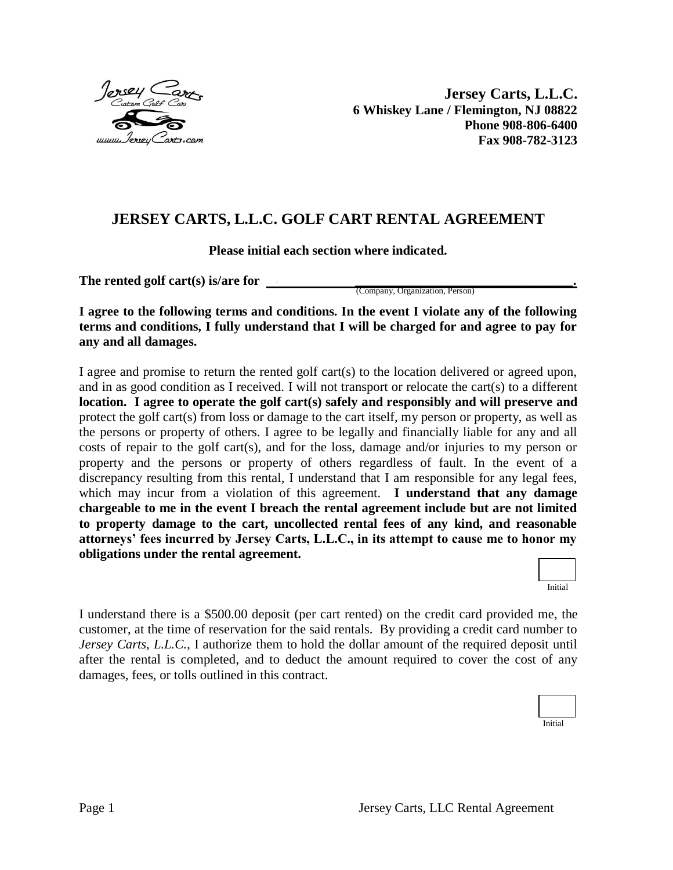

**Jersey Carts, L.L.C. 6 Whiskey Lane / Flemington, NJ 08822 Phone 908-806-6400 Fax 908-782-3123**

## **JERSEY CARTS, L.L.C. GOLF CART RENTAL AGREEMENT**

**Please initial each section where indicated.**

**The rented golf cart(s) is/are for** *\_\_\_\_\_\_\_\_\_\_\_\_\_\_\_\_\_\_\_\_\_\_\_\_\_\_\_\_\_\_\_\_\_.*

(Company, Organization, Person)

**I agree to the following terms and conditions. In the event I violate any of the following terms and conditions, I fully understand that I will be charged for and agree to pay for any and all damages.**

I agree and promise to return the rented golf cart(s) to the location delivered or agreed upon, and in as good condition as I received. I will not transport or relocate the cart(s) to a different **location. I agree to operate the golf cart(s) safely and responsibly and will preserve and** protect the golf cart(s) from loss or damage to the cart itself, my person or property, as well as the persons or property of others. I agree to be legally and financially liable for any and all costs of repair to the golf cart(s), and for the loss, damage and/or injuries to my person or property and the persons or property of others regardless of fault. In the event of a discrepancy resulting from this rental, I understand that I am responsible for any legal fees, which may incur from a violation of this agreement. **I understand that any damage chargeable to me in the event I breach the rental agreement include but are not limited to property damage to the cart, uncollected rental fees of any kind, and reasonable attorneys' fees incurred by Jersey Carts, L.L.C., in its attempt to cause me to honor my obligations under the rental agreement.**



I understand there is a \$500.00 deposit (per cart rented) on the credit card provided me, the customer, at the time of reservation for the said rentals. By providing a credit card number to *Jersey Carts, L.L.C.*, I authorize them to hold the dollar amount of the required deposit until after the rental is completed, and to deduct the amount required to cover the cost of any damages, fees, or tolls outlined in this contract.

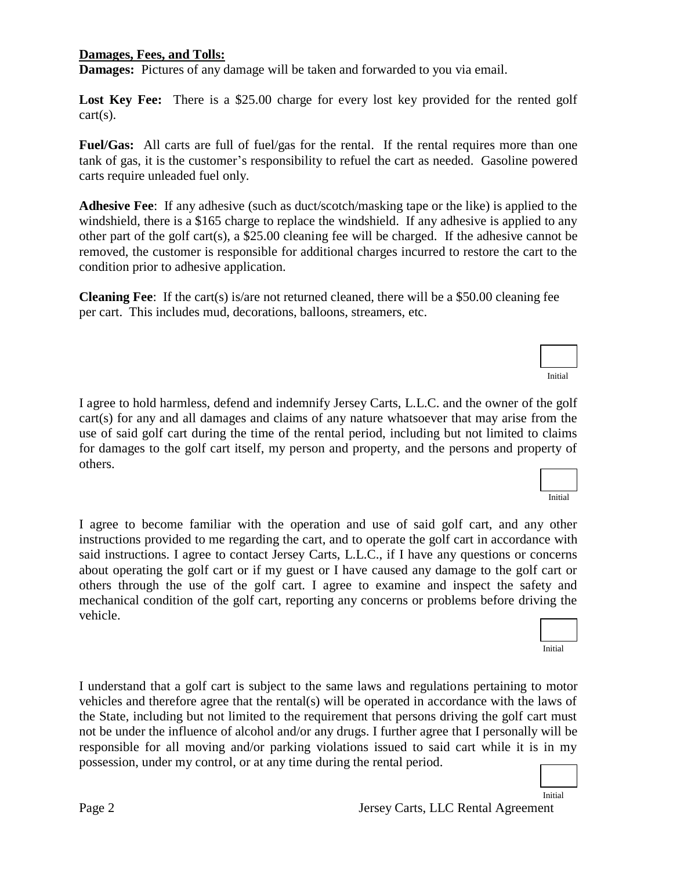## **Damages, Fees, and Tolls:**

**Damages:** Pictures of any damage will be taken and forwarded to you via email.

Lost Key Fee: There is a \$25.00 charge for every lost key provided for the rented golf cart(s).

**Fuel/Gas:** All carts are full of fuel/gas for the rental. If the rental requires more than one tank of gas, it is the customer's responsibility to refuel the cart as needed. Gasoline powered carts require unleaded fuel only.

**Adhesive Fee**: If any adhesive (such as duct/scotch/masking tape or the like) is applied to the windshield, there is a \$165 charge to replace the windshield. If any adhesive is applied to any other part of the golf cart(s), a \$25.00 cleaning fee will be charged. If the adhesive cannot be removed, the customer is responsible for additional charges incurred to restore the cart to the condition prior to adhesive application.

**Cleaning Fee**: If the cart(s) is/are not returned cleaned, there will be a \$50.00 cleaning fee per cart. This includes mud, decorations, balloons, streamers, etc.

I agree to hold harmless, defend and indemnify Jersey Carts, L.L.C. and the owner of the golf cart(s) for any and all damages and claims of any nature whatsoever that may arise from the use of said golf cart during the time of the rental period, including but not limited to claims for damages to the golf cart itself, my person and property, and the persons and property of others.

I agree to become familiar with the operation and use of said golf cart, and any other instructions provided to me regarding the cart, and to operate the golf cart in accordance with said instructions. I agree to contact Jersey Carts, L.L.C., if I have any questions or concerns about operating the golf cart or if my guest or I have caused any damage to the golf cart or others through the use of the golf cart. I agree to examine and inspect the safety and mechanical condition of the golf cart, reporting any concerns or problems before driving vehicle.

I understand that a golf cart is subject to the same laws and regulations pertaining to motor vehicles and therefore agree that the rental(s) will be operated in accordance with the laws of the State, including but not limited to the requirement that persons driving the golf cart must not be under the influence of alcohol and/or any drugs. I further agree that I personally will be responsible for all moving and/or parking violations issued to said cart while it is in my possession, under my control, or at any time during the rental period.

| ing the |  |
|---------|--|
|         |  |

Initial



Initial